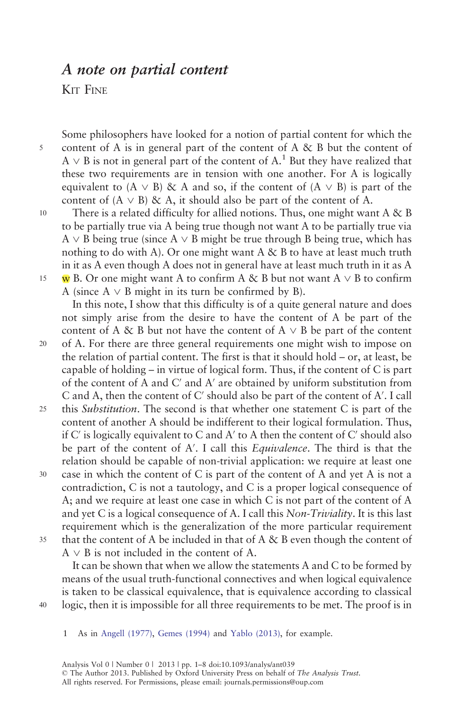## A note on partial content

KIT FINE

Some philosophers have looked for a notion of partial content for which the 5 content of A is in general part of the content of A & B but the content of  $A \vee B$  is not in general part of the content of  $A<sup>1</sup>$  But they have realized that these two requirements are in tension with one another. For A is logically equivalent to  $(A \vee B)$  & A and so, if the content of  $(A \vee B)$  is part of the content of  $(A \vee B)$  & A, it should also be part of the content of A.

10 There is a related difficulty for allied notions. Thus, one might want  $A \& B$ to be partially true via A being true though not want A to be partially true via A  $\vee$  B being true (since A  $\vee$  B might be true through B being true, which has nothing to do with A). Or one might want  $A \& B$  to have at least much truth in it as A even though A does not in general have at least much truth in it as A <sup>15</sup> w B. Or one might want A to confirm A & B but not want  $A \vee B$  to confirm

A (since  $A \vee B$  might in its turn be confirmed by B). In this note, I show that this difficulty is of a quite general nature and does not simply arise from the desire to have the content of A be part of the content of A & B but not have the content of A  $\vee$  B be part of the content

- <sup>20</sup> of A. For there are three general requirements one might wish to impose on the relation of partial content. The first is that it should hold – or, at least, be capable of holding – in virtue of logical form. Thus, if the content of  $C$  is part of the content of A and C' and A' are obtained by uniform substitution from C and A, then the content of C' should also be part of the content of A'. I call
- <sup>25</sup> this Substitution. The second is that whether one statement C is part of the content of another A should be indifferent to their logical formulation. Thus, if  $C'$  is logically equivalent to  $C$  and  $A'$  to  $A$  then the content of  $C'$  should also be part of the content of A'. I call this *Equivalence*. The third is that the relation should be capable of non-trivial application: we require at least one
- <sup>30</sup> case in which the content of C is part of the content of A and yet A is not a contradiction, C is not a tautology, and C is a proper logical consequence of A; and we require at least one case in which C is not part of the content of A and yet C is a logical consequence of A. I call this Non-Triviality. It is this last requirement which is the generalization of the more particular requirement  $35$  that the content of A be included in that of A & B even though the content of

 $A \vee B$  is not included in the content of A.

It can be shown that when we allow the statements A and C to be formed by means of the usual truth-functional connectives and when logical equivalence is taken to be classical equivalence, that is equivalence according to classical <sup>40</sup> logic, then it is impossible for all three requirements to be met. The proof is in

<sup>1</sup> As in [Angell \(1977\)](#page-6-0), [Gemes \(1994\)](#page-6-0) and [Yablo \(2013\),](#page-6-0) for example.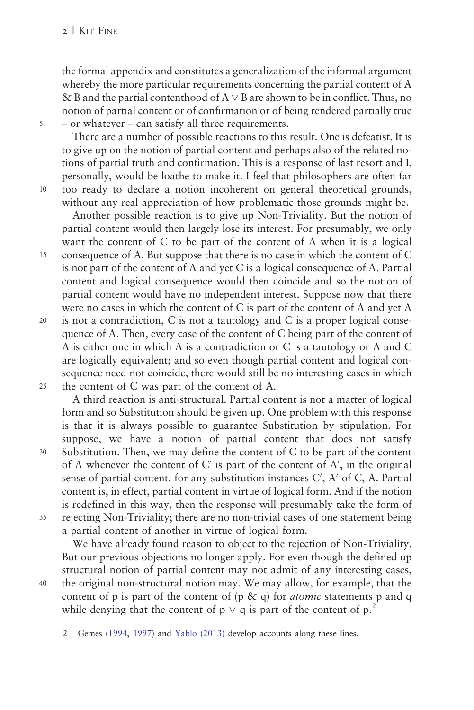the formal appendix and constitutes a generalization of the informal argument whereby the more particular requirements concerning the partial content of A & B and the partial contenthood of  $A \vee B$  are shown to be in conflict. Thus, no notion of partial content or of confirmation or of being rendered partially true  $5 -$  or whatever – can satisfy all three requirements.

There are a number of possible reactions to this result. One is defeatist. It is to give up on the notion of partial content and perhaps also of the related notions of partial truth and confirmation. This is a response of last resort and I, personally, would be loathe to make it. I feel that philosophers are often far <sup>10</sup> too ready to declare a notion incoherent on general theoretical grounds, without any real appreciation of how problematic those grounds might be.

Another possible reaction is to give up Non-Triviality. But the notion of partial content would then largely lose its interest. For presumably, we only want the content of C to be part of the content of A when it is a logical <sup>15</sup> consequence of A. But suppose that there is no case in which the content of C is not part of the content of A and yet C is a logical consequence of A. Partial content and logical consequence would then coincide and so the notion of

partial content would have no independent interest. Suppose now that there

were no cases in which the content of C is part of the content of A and yet A 20 is not a contradiction,  $C$  is not a tautology and  $C$  is a proper logical consequence of A. Then, every case of the content of C being part of the content of A is either one in which A is a contradiction or C is a tautology or A and C are logically equivalent; and so even though partial content and logical consequence need not coincide, there would still be no interesting cases in which <sup>25</sup> the content of C was part of the content of A.

A third reaction is anti-structural. Partial content is not a matter of logical form and so Substitution should be given up. One problem with this response is that it is always possible to guarantee Substitution by stipulation. For suppose, we have a notion of partial content that does not satisfy <sup>30</sup> Substitution. Then, we may define the content of C to be part of the content of A whenever the content of C' is part of the content of A', in the original sense of partial content, for any substitution instances  $C$ , A' of C, A. Partial content is, in effect, partial content in virtue of logical form. And if the notion is redefined in this way, then the response will presumably take the form of <sup>35</sup> rejecting Non-Triviality; there are no non-trivial cases of one statement being

a partial content of another in virtue of logical form.

We have already found reason to object to the rejection of Non-Triviality. But our previous objections no longer apply. For even though the defined up structural notion of partial content may not admit of any interesting cases, <sup>40</sup> the original non-structural notion may. We may allow, for example, that the content of p is part of the content of  $(p \& q)$  for *atomic* statements p and q while denying that the content of  $p \vee q$  is part of the content of  $p^2$ .

2 Gemes [\(1994,](#page-6-0) [1997\)](#page-6-0) and [Yablo \(2013\)](#page-6-0) develop accounts along these lines.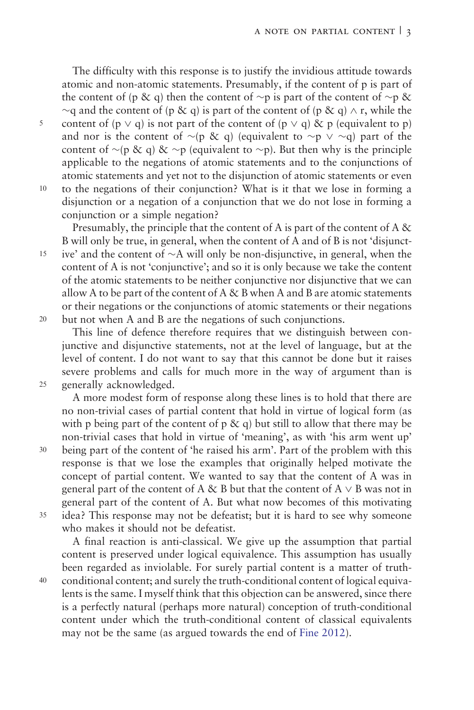The difficulty with this response is to justify the invidious attitude towards atomic and non-atomic statements. Presumably, if the content of p is part of the content of (p & q) then the content of  $\sim p$  is part of the content of  $\sim p$  &  $\sim$ q and the content of (p & q) is part of the content of (p & q)  $\wedge$  r, while the 5 content of  $(p \lor q)$  is not part of the content of  $(p \lor q)$  & p (equivalent to p) and nor is the content of  $\sim$ (p & q) (equivalent to  $\sim$ p  $\vee \sim$ q) part of the content of  $\sim (p \& q) \& \sim p$  (equivalent to  $\sim p$ ). But then why is the principle applicable to the negations of atomic statements and to the conjunctions of atomic statements and yet not to the disjunction of atomic statements or even <sup>10</sup> to the negations of their conjunction? What is it that we lose in forming a

disjunction or a negation of a conjunction that we do not lose in forming a conjunction or a simple negation? Presumably, the principle that the content of A is part of the content of A &

B will only be true, in general, when the content of A and of B is not 'disjunct-<sup>15</sup> ive' and the content of  $\sim$ A will only be non-disjunctive, in general, when the content of A is not 'conjunctive'; and so it is only because we take the content of the atomic statements to be neither conjunctive nor disjunctive that we can allow A to be part of the content of A & B when A and B are atomic statements or their negations or the conjunctions of atomic statements or their negations <sup>20</sup> but not when A and B are the negations of such conjunctions.

This line of defence therefore requires that we distinguish between conjunctive and disjunctive statements, not at the level of language, but at the level of content. I do not want to say that this cannot be done but it raises severe problems and calls for much more in the way of argument than is <sup>25</sup> generally acknowledged.

A more modest form of response along these lines is to hold that there are no non-trivial cases of partial content that hold in virtue of logical form (as with p being part of the content of p  $\&$  q) but still to allow that there may be non-trivial cases that hold in virtue of 'meaning', as with 'his arm went up' <sup>30</sup> being part of the content of 'he raised his arm'. Part of the problem with this response is that we lose the examples that originally helped motivate the concept of partial content. We wanted to say that the content of A was in general part of the content of A & B but that the content of A  $\vee$  B was not in general part of the content of A. But what now becomes of this motivating <sup>35</sup> idea? This response may not be defeatist; but it is hard to see why someone

who makes it should not be defeatist.

A final reaction is anti-classical. We give up the assumption that partial content is preserved under logical equivalence. This assumption has usually been regarded as inviolable. For surely partial content is a matter of truth-<sup>40</sup> conditional content; and surely the truth-conditional content of logical equivalents is the same. I myself think that this objection can be answered, since there is a perfectly natural (perhaps more natural) conception of truth-conditional content under which the truth-conditional content of classical equivalents may not be the same (as argued towards the end of [Fine 2012\)](#page-6-0).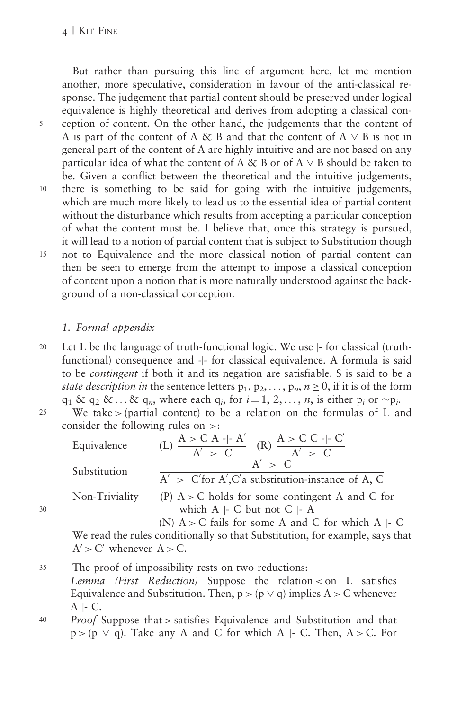But rather than pursuing this line of argument here, let me mention another, more speculative, consideration in favour of the anti-classical response. The judgement that partial content should be preserved under logical equivalence is highly theoretical and derives from adopting a classical con-5 ception of content. On the other hand, the judgements that the content of A is part of the content of A & B and that the content of  $A \vee B$  is not in general part of the content of A are highly intuitive and are not based on any particular idea of what the content of A & B or of A  $\vee$  B should be taken to be. Given a conflict between the theoretical and the intuitive judgements, <sup>10</sup> there is something to be said for going with the intuitive judgements, which are much more likely to lead us to the essential idea of partial content without the disturbance which results from accepting a particular conception of what the content must be. I believe that, once this strategy is pursued,

it will lead to a notion of partial content that is subject to Substitution though <sup>15</sup> not to Equivalence and the more classical notion of partial content can then be seen to emerge from the attempt to impose a classical conception of content upon a notion that is more naturally understood against the background of a non-classical conception.

## 1. Formal appendix

<sup>20</sup> Let L be the language of truth-functional logic. We use j- for classical (truthfunctional) consequence and  $-$  for classical equivalence. A formula is said to be contingent if both it and its negation are satisfiable. S is said to be a state description in the sentence letters  $p_1, p_2, \ldots, p_n, n \ge 0$ , if it is of the form  $q_1 \& q_2 \& \ldots \& q_n$ , where each  $q_i$ , for  $i = 1, 2, \ldots, n$ , is either  $p_i$  or  $\sim p_i$ .

25 We take  $>$  (partial content) to be a relation on the formulas of L and consider the following rules on >:

| Equivalence    | (L) $\frac{A > C A -  A' }{A' > C}$ (R) $\frac{A > C C -  C' }{A' > C}$ |
|----------------|-------------------------------------------------------------------------|
| Substitution   | A' > C<br>$A' > C'$ for A', C' a substitution-instance of A, C          |
| Non-Triviality | (P) $A > C$ holds for some contingent A and C for                       |

 $30$  which A  $\vdash$  C but not C  $\vdash$  A

(N)  $A > C$  fails for some A and C for which A  $\vdash C$ We read the rules conditionally so that Substitution, for example, says that  $A' > C'$  whenever  $A > C$ .

<sup>35</sup> The proof of impossibility rests on two reductions: Lemma (First Reduction) Suppose the relation < on L satisfies Equivalence and Substitution. Then,  $p > (p \vee q)$  implies A  $>$  C whenever  $A \vdash C$ .

<sup>40</sup> Proof Suppose that > satisfies Equivalence and Substitution and that  $p > (p \vee q)$ . Take any A and C for which A  $\vdash$  C. Then, A  $\gt$  C. For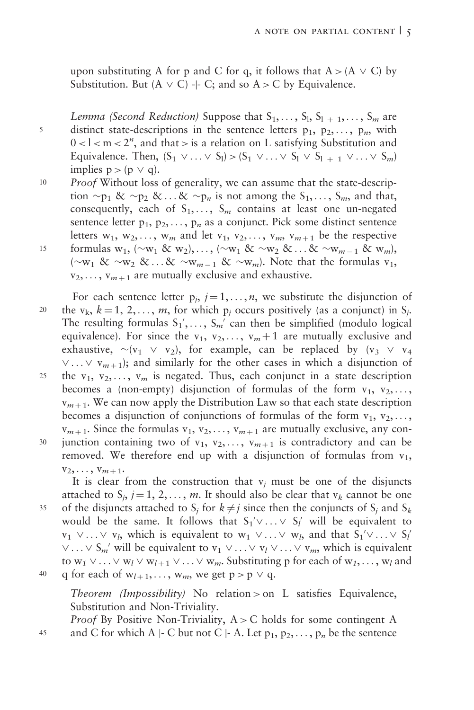upon substituting A for p and C for q, it follows that  $A > (A \vee C)$  by Substitution. But  $(A \vee C)$  -|- C; and so  $A > C$  by Equivalence.

Lemma (Second Reduction) Suppose that  $S_1, \ldots, S_l, S_{l+1}, \ldots, S_m$  are 5 distinct state-descriptions in the sentence letters  $p_1, p_2, \ldots, p_n$ , with  $0 < l < m < 2<sup>n</sup>$ , and that > is a relation on L satisfying Substitution and Equivalence. Then,  $(S_1 \vee \ldots \vee S_l) > (S_1 \vee \ldots \vee S_l \vee S_{l+1} \vee \ldots \vee S_m)$ implies  $p > (p \vee q)$ .

<sup>10</sup> Proof Without loss of generality, we can assume that the state-description  $\neg p_1 \& \neg p_2 \& \ldots \& \neg p_n$  is not among the  $S_1, \ldots, S_m$ , and that, consequently, each of  $S_1, \ldots, S_m$  contains at least one un-negated sentence letter  $p_1, p_2, \ldots, p_n$  as a conjunct. Pick some distinct sentence letters  $w_1, w_2, \ldots, w_m$  and let  $v_1, v_2, \ldots, v_m, v_{m+1}$  be the respective 15 formulas w<sub>1</sub>,  $(\sim w_1 \& w_2), ..., (\sim w_1 \& \sim w_2 \& ... \& \sim w_{m-1} \& w_m)$ , ( $\sim w_1 \& \sim w_2 \& \ldots \& \sim w_{m-1} \& \sim w_m$ ). Note that the formulas  $v_1$ ,  $v_2, \ldots, v_{m+1}$  are mutually exclusive and exhaustive.

For each sentence letter  $p_i$ ,  $j = 1, \ldots, n$ , we substitute the disjunction of <sup>20</sup> the v<sub>k</sub>,  $k = 1, 2, ..., m$ , for which p<sub>i</sub> occurs positively (as a conjunct) in S<sub>i</sub>. The resulting formulas  $S_1', \ldots, S_m'$  can then be simplified (modulo logical equivalence). For since the  $v_1, v_2, \ldots, v_m+1$  are mutually exclusive and exhaustive,  $\sim$ (v<sub>1</sub>  $\vee$  v<sub>2</sub>), for example, can be replaced by (v<sub>3</sub>  $\vee$  v<sub>4</sub>  $\vee \ldots \vee \vee_{m+1}$ ; and similarly for the other cases in which a disjunction of 25 the  $v_1, v_2, \ldots, v_m$  is negated. Thus, each conjunct in a state description becomes a (non-empty) disjunction of formulas of the form  $v_1, v_2, \ldots$ ,  $v_{m+1}$ . We can now apply the Distribution Law so that each state description becomes a disjunction of conjunctions of formulas of the form  $v_1, v_2, \ldots$ ,  $v_{m+1}$ . Since the formulas  $v_1, v_2, \ldots, v_{m+1}$  are mutually exclusive, any con-30 junction containing two of  $v_1, v_2, \ldots, v_{m+1}$  is contradictory and can be removed. We therefore end up with a disjunction of formulas from  $v_1$ ,  $V_2, \ldots, V_{m+1}$ .

It is clear from the construction that  $v_i$  must be one of the disjuncts attached to  $S_i$ ,  $j = 1, 2, ..., m$ . It should also be clear that  $v_k$  cannot be one 35 of the disjuncts attached to S<sub>i</sub> for  $k \neq j$  since then the conjuncts of S<sub>i</sub> and S<sub>k</sub> would be the same. It follows that  $S_1' \vee \ldots \vee S_l'$  will be equivalent to  $v_1 \vee \ldots \vee v_l$ , which is equivalent to  $w_1 \vee \ldots \vee w_l$ , and that  $S_1' \vee \ldots \vee S_l$  $\vee \ldots \vee S_{m'}$  will be equivalent to  $v_1 \vee \ldots \vee v_l \vee \ldots \vee v_m$ , which is equivalent to  $w_1 \vee ... \vee w_l \vee w_{l+1} \vee ... \vee w_m$ . Substituting p for each of  $w_1, ..., w_l$  and

40 q for each of  $w_{l+1}, \ldots, w_m$ , we get  $p > p \vee q$ .

Theorem (Impossibility) No relation > on L satisfies Equivalence, Substitution and Non-Triviality.

*Proof* By Positive Non-Triviality,  $A > C$  holds for some contingent A 45 and C for which A  $\vdash$  C but not C  $\vdash$  A. Let  $p_1, p_2, \ldots, p_n$  be the sentence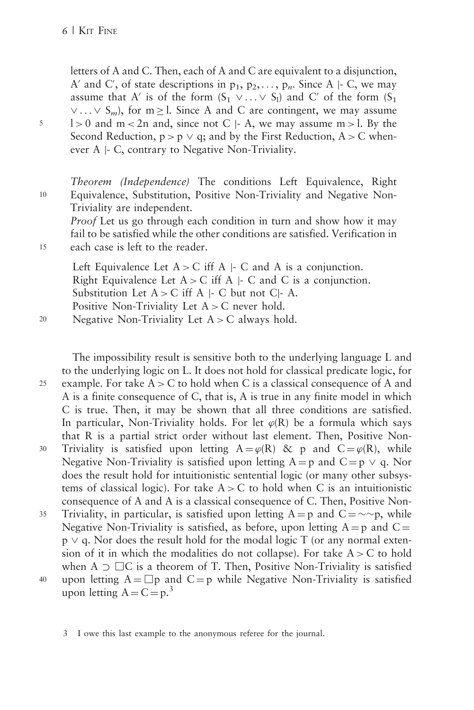letters of A and C. Then, each of A and C are equivalent to a disjunction, A' and C', of state descriptions in  $p_1, p_2, \ldots, p_n$ . Since A  $\vdash$  C, we may assume that A' is of the form  $(S_1 \vee \ldots \vee S_l)$  and C' of the form  $(S_1 \vee \ldots \vee S_l)$  $\vee \ldots \vee S_m$ , for m > l. Since A and C are contingent, we may assume  $1 > 0$  and  $m < 2n$  and, since not C |- A, we may assume  $m > 1$ . By the Second Reduction,  $p > p \vee q$ ; and by the First Reduction,  $A > C$  whenever A j- C, contrary to Negative Non-Triviality.

Theorem (Independence) The conditions Left Equivalence, Right <sup>10</sup> Equivalence, Substitution, Positive Non-Triviality and Negative Non-Triviality are independent.

Proof Let us go through each condition in turn and show how it may fail to be satisfied while the other conditions are satisfied. Verification in <sup>15</sup> each case is left to the reader.

Left Equivalence Let  $A > C$  iff  $A \mid C$  and  $A$  is a conjunction. Right Equivalence Let  $A > C$  iff A  $\vdash$  C and C is a conjunction. Substitution Let  $A > C$  iff  $A \mid C$  but not  $C \mid A$ . Positive Non-Triviality Let  $A > C$  never hold.

20 Negative Non-Triviality Let  $A > C$  always hold.

The impossibility result is sensitive both to the underlying language L and to the underlying logic on L. It does not hold for classical predicate logic, for 25 example. For take  $A > C$  to hold when C is a classical consequence of A and A is a finite consequence of C, that is, A is true in any finite model in which C is true. Then, it may be shown that all three conditions are satisfied. In particular, Non-Triviality holds. For let  $\varphi(R)$  be a formula which says that R is a partial strict order without last element. Then, Positive Non-30 Triviality is satisfied upon letting  $A = \varphi(R)$  & p and  $C = \varphi(R)$ , while Negative Non-Triviality is satisfied upon letting  $A = p$  and  $C = p \vee q$ . Nor does the result hold for intuitionistic sentential logic (or many other subsystems of classical logic). For take  $A > C$  to hold when C is an intuitionistic consequence of A and A is a classical consequence of C. Then, Positive Non-35 Triviality, in particular, is satisfied upon letting  $A = p$  and  $C = \sim p$ , while Negative Non-Triviality is satisfied, as before, upon letting  $A = p$  and  $C =$  $p \vee q$ . Nor does the result hold for the modal logic T (or any normal extension of it in which the modalities do not collapse). For take  $A > C$  to hold when  $A \supset \Box C$  is a theorem of T. Then, Positive Non-Triviality is satisfied 40 upon letting  $A = \Box p$  and  $C = p$  while Negative Non-Triviality is satisfied

3 I owe this last example to the anonymous referee for the journal.

upon letting  $A = C = p<sup>3</sup>$ .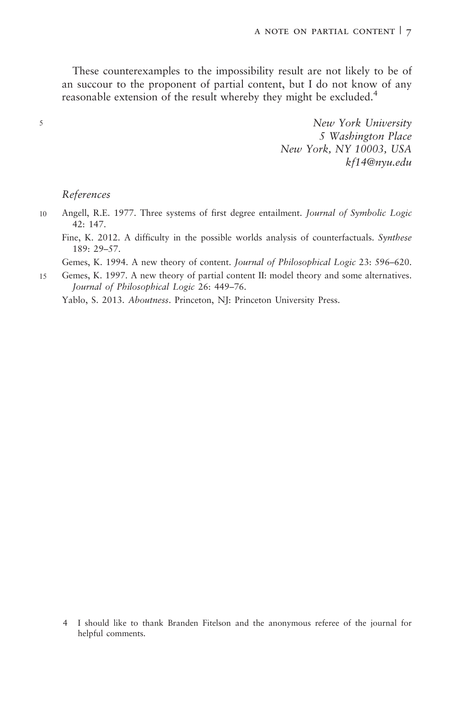<span id="page-6-0"></span>These counterexamples to the impossibility result are not likely to be of an succour to the proponent of partial content, but I do not know of any reasonable extension of the result whereby they might be excluded.<sup>4</sup>

5 New York University 5 Washington Place New York, NY 10003, USA kf14@nyu.edu

## References

- 10 Angell, R.E. 1977. Three systems of first degree entailment. Journal of Symbolic Logic 42: 147.
	- Fine, K. 2012. A difficulty in the possible worlds analysis of counterfactuals. Synthese 189: 29–57.

Gemes, K. 1994. A new theory of content. Journal of Philosophical Logic 23: 596–620.

15 Gemes, K. 1997. A new theory of partial content II: model theory and some alternatives. Journal of Philosophical Logic 26: 449–76.

Yablo, S. 2013. Aboutness. Princeton, NJ: Princeton University Press.

<sup>4</sup> I should like to thank Branden Fitelson and the anonymous referee of the journal for helpful comments.